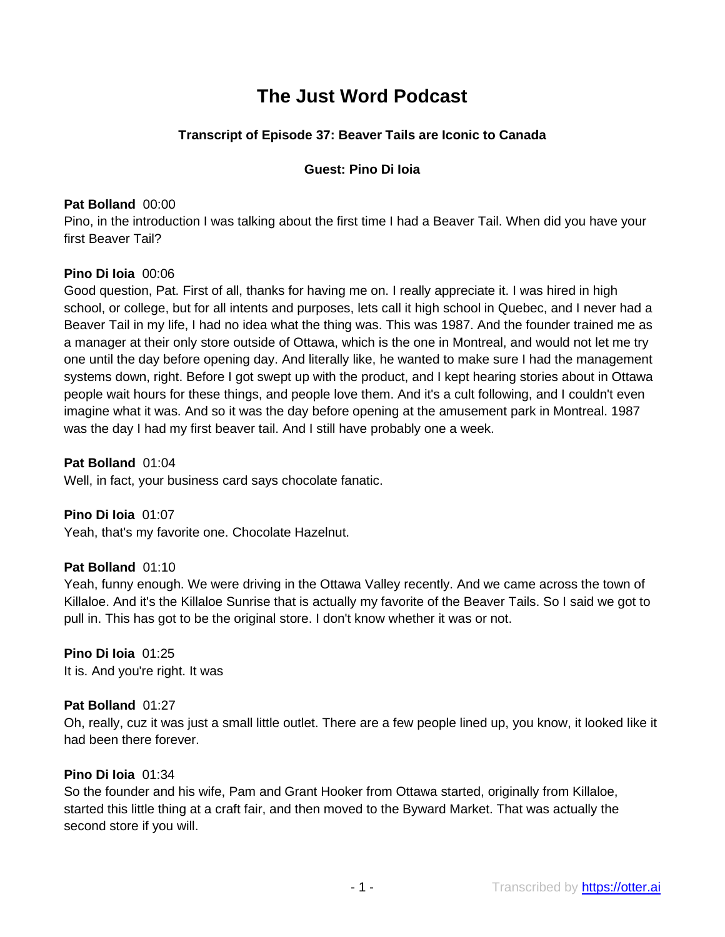# **The Just Word Podcast**

# **Transcript of Episode 37: Beaver Tails are Iconic to Canada**

# **Guest: Pino Di Ioia**

# **Pat Bolland** 00:00

Pino, in the introduction I was talking about the first time I had a Beaver Tail. When did you have your first Beaver Tail?

## **Pino Di Ioia** 00:06

Good question, Pat. First of all, thanks for having me on. I really appreciate it. I was hired in high school, or college, but for all intents and purposes, lets call it high school in Quebec, and I never had a Beaver Tail in my life, I had no idea what the thing was. This was 1987. And the founder trained me as a manager at their only store outside of Ottawa, which is the one in Montreal, and would not let me try one until the day before opening day. And literally like, he wanted to make sure I had the management systems down, right. Before I got swept up with the product, and I kept hearing stories about in Ottawa people wait hours for these things, and people love them. And it's a cult following, and I couldn't even imagine what it was. And so it was the day before opening at the amusement park in Montreal. 1987 was the day I had my first beaver tail. And I still have probably one a week.

**Pat Bolland** 01:04 Well, in fact, your business card says chocolate fanatic.

**Pino Di Ioia** 01:07 Yeah, that's my favorite one. Chocolate Hazelnut.

# **Pat Bolland** 01:10

Yeah, funny enough. We were driving in the Ottawa Valley recently. And we came across the town of Killaloe. And it's the Killaloe Sunrise that is actually my favorite of the Beaver Tails. So I said we got to pull in. This has got to be the original store. I don't know whether it was or not.

**Pino Di Ioia** 01:25 It is. And you're right. It was

# **Pat Bolland** 01:27

Oh, really, cuz it was just a small little outlet. There are a few people lined up, you know, it looked like it had been there forever.

## **Pino Di Ioia** 01:34

So the founder and his wife, Pam and Grant Hooker from Ottawa started, originally from Killaloe, started this little thing at a craft fair, and then moved to the Byward Market. That was actually the second store if you will.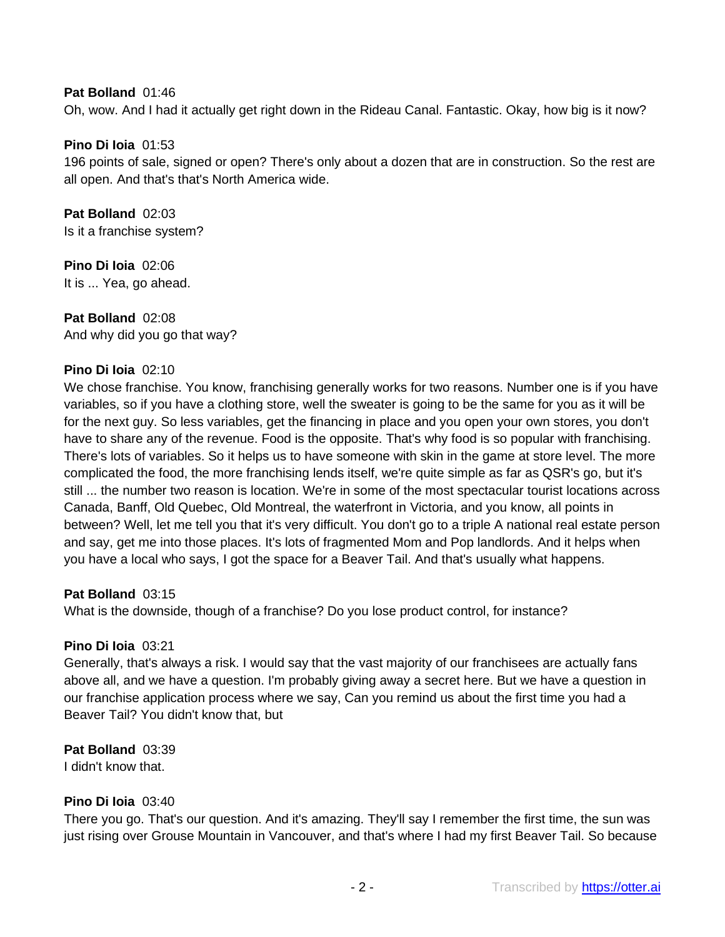## **Pat Bolland** 01:46

Oh, wow. And I had it actually get right down in the Rideau Canal. Fantastic. Okay, how big is it now?

## **Pino Di Ioia** 01:53

196 points of sale, signed or open? There's only about a dozen that are in construction. So the rest are all open. And that's that's North America wide.

**Pat Bolland** 02:03 Is it a franchise system?

**Pino Di Ioia** 02:06 It is ... Yea, go ahead.

**Pat Bolland** 02:08 And why did you go that way?

## **Pino Di Ioia** 02:10

We chose franchise. You know, franchising generally works for two reasons. Number one is if you have variables, so if you have a clothing store, well the sweater is going to be the same for you as it will be for the next guy. So less variables, get the financing in place and you open your own stores, you don't have to share any of the revenue. Food is the opposite. That's why food is so popular with franchising. There's lots of variables. So it helps us to have someone with skin in the game at store level. The more complicated the food, the more franchising lends itself, we're quite simple as far as QSR's go, but it's still ... the number two reason is location. We're in some of the most spectacular tourist locations across Canada, Banff, Old Quebec, Old Montreal, the waterfront in Victoria, and you know, all points in between? Well, let me tell you that it's very difficult. You don't go to a triple A national real estate person and say, get me into those places. It's lots of fragmented Mom and Pop landlords. And it helps when you have a local who says, I got the space for a Beaver Tail. And that's usually what happens.

## **Pat Bolland** 03:15

What is the downside, though of a franchise? Do you lose product control, for instance?

## **Pino Di Ioia** 03:21

Generally, that's always a risk. I would say that the vast majority of our franchisees are actually fans above all, and we have a question. I'm probably giving away a secret here. But we have a question in our franchise application process where we say, Can you remind us about the first time you had a Beaver Tail? You didn't know that, but

**Pat Bolland** 03:39 I didn't know that.

## **Pino Di Ioia** 03:40

There you go. That's our question. And it's amazing. They'll say I remember the first time, the sun was just rising over Grouse Mountain in Vancouver, and that's where I had my first Beaver Tail. So because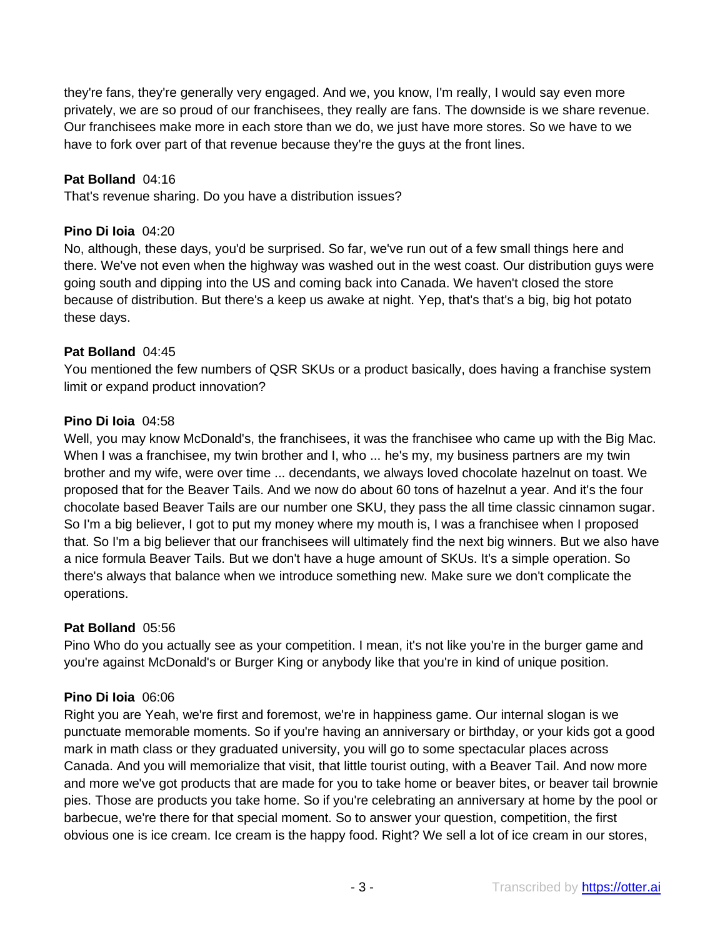they're fans, they're generally very engaged. And we, you know, I'm really, I would say even more privately, we are so proud of our franchisees, they really are fans. The downside is we share revenue. Our franchisees make more in each store than we do, we just have more stores. So we have to we have to fork over part of that revenue because they're the guys at the front lines.

## **Pat Bolland** 04:16

That's revenue sharing. Do you have a distribution issues?

## **Pino Di Ioia** 04:20

No, although, these days, you'd be surprised. So far, we've run out of a few small things here and there. We've not even when the highway was washed out in the west coast. Our distribution guys were going south and dipping into the US and coming back into Canada. We haven't closed the store because of distribution. But there's a keep us awake at night. Yep, that's that's a big, big hot potato these days.

## **Pat Bolland** 04:45

You mentioned the few numbers of QSR SKUs or a product basically, does having a franchise system limit or expand product innovation?

## **Pino Di Ioia** 04:58

Well, you may know McDonald's, the franchisees, it was the franchisee who came up with the Big Mac. When I was a franchisee, my twin brother and I, who ... he's my, my business partners are my twin brother and my wife, were over time ... decendants, we always loved chocolate hazelnut on toast. We proposed that for the Beaver Tails. And we now do about 60 tons of hazelnut a year. And it's the four chocolate based Beaver Tails are our number one SKU, they pass the all time classic cinnamon sugar. So I'm a big believer, I got to put my money where my mouth is, I was a franchisee when I proposed that. So I'm a big believer that our franchisees will ultimately find the next big winners. But we also have a nice formula Beaver Tails. But we don't have a huge amount of SKUs. It's a simple operation. So there's always that balance when we introduce something new. Make sure we don't complicate the operations.

## **Pat Bolland** 05:56

Pino Who do you actually see as your competition. I mean, it's not like you're in the burger game and you're against McDonald's or Burger King or anybody like that you're in kind of unique position.

## **Pino Di Ioia** 06:06

Right you are Yeah, we're first and foremost, we're in happiness game. Our internal slogan is we punctuate memorable moments. So if you're having an anniversary or birthday, or your kids got a good mark in math class or they graduated university, you will go to some spectacular places across Canada. And you will memorialize that visit, that little tourist outing, with a Beaver Tail. And now more and more we've got products that are made for you to take home or beaver bites, or beaver tail brownie pies. Those are products you take home. So if you're celebrating an anniversary at home by the pool or barbecue, we're there for that special moment. So to answer your question, competition, the first obvious one is ice cream. Ice cream is the happy food. Right? We sell a lot of ice cream in our stores,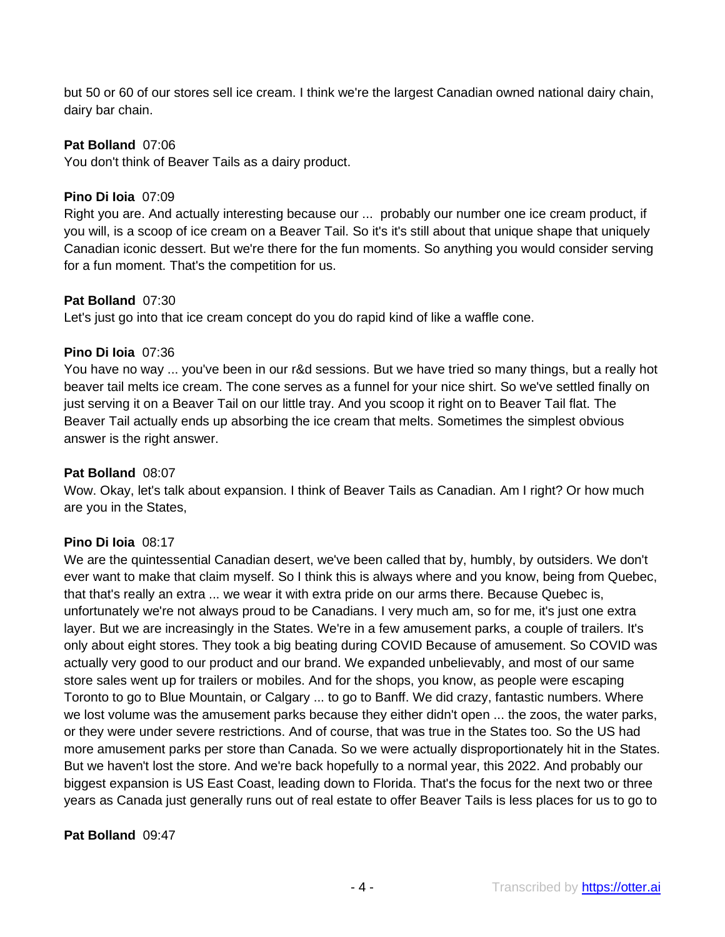but 50 or 60 of our stores sell ice cream. I think we're the largest Canadian owned national dairy chain, dairy bar chain.

## **Pat Bolland** 07:06

You don't think of Beaver Tails as a dairy product.

# **Pino Di Ioia** 07:09

Right you are. And actually interesting because our ... probably our number one ice cream product, if you will, is a scoop of ice cream on a Beaver Tail. So it's it's still about that unique shape that uniquely Canadian iconic dessert. But we're there for the fun moments. So anything you would consider serving for a fun moment. That's the competition for us.

## **Pat Bolland** 07:30

Let's just go into that ice cream concept do you do rapid kind of like a waffle cone.

## **Pino Di Ioia** 07:36

You have no way ... you've been in our r&d sessions. But we have tried so many things, but a really hot beaver tail melts ice cream. The cone serves as a funnel for your nice shirt. So we've settled finally on just serving it on a Beaver Tail on our little tray. And you scoop it right on to Beaver Tail flat. The Beaver Tail actually ends up absorbing the ice cream that melts. Sometimes the simplest obvious answer is the right answer.

## **Pat Bolland** 08:07

Wow. Okay, let's talk about expansion. I think of Beaver Tails as Canadian. Am I right? Or how much are you in the States,

# **Pino Di Ioia** 08:17

We are the quintessential Canadian desert, we've been called that by, humbly, by outsiders. We don't ever want to make that claim myself. So I think this is always where and you know, being from Quebec, that that's really an extra ... we wear it with extra pride on our arms there. Because Quebec is, unfortunately we're not always proud to be Canadians. I very much am, so for me, it's just one extra layer. But we are increasingly in the States. We're in a few amusement parks, a couple of trailers. It's only about eight stores. They took a big beating during COVID Because of amusement. So COVID was actually very good to our product and our brand. We expanded unbelievably, and most of our same store sales went up for trailers or mobiles. And for the shops, you know, as people were escaping Toronto to go to Blue Mountain, or Calgary ... to go to Banff. We did crazy, fantastic numbers. Where we lost volume was the amusement parks because they either didn't open ... the zoos, the water parks, or they were under severe restrictions. And of course, that was true in the States too. So the US had more amusement parks per store than Canada. So we were actually disproportionately hit in the States. But we haven't lost the store. And we're back hopefully to a normal year, this 2022. And probably our biggest expansion is US East Coast, leading down to Florida. That's the focus for the next two or three years as Canada just generally runs out of real estate to offer Beaver Tails is less places for us to go to

# **Pat Bolland** 09:47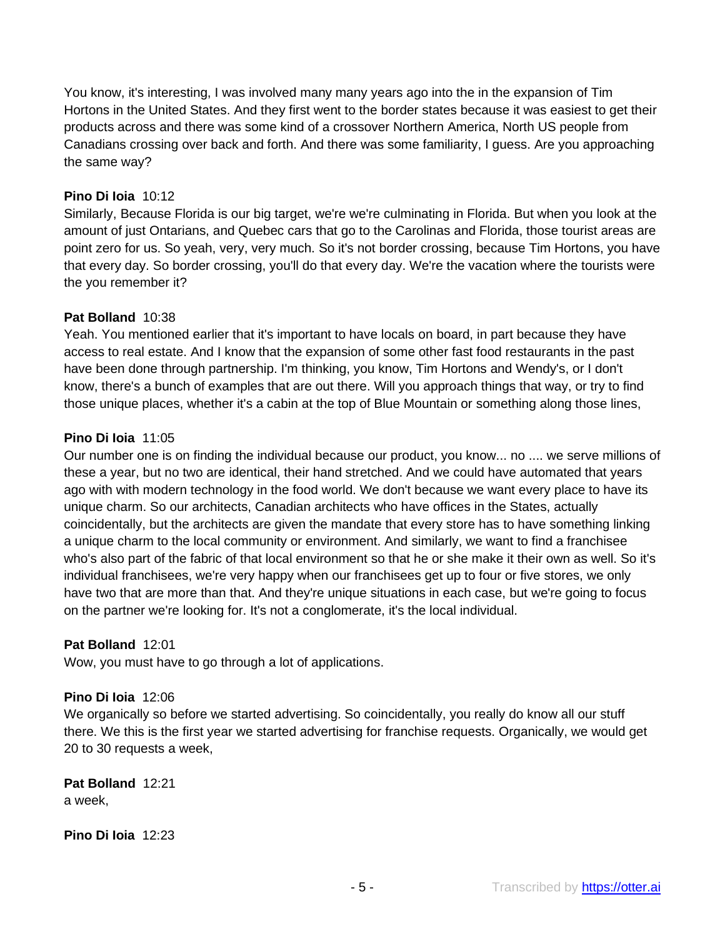You know, it's interesting, I was involved many many years ago into the in the expansion of Tim Hortons in the United States. And they first went to the border states because it was easiest to get their products across and there was some kind of a crossover Northern America, North US people from Canadians crossing over back and forth. And there was some familiarity, I guess. Are you approaching the same way?

## **Pino Di Ioia** 10:12

Similarly, Because Florida is our big target, we're we're culminating in Florida. But when you look at the amount of just Ontarians, and Quebec cars that go to the Carolinas and Florida, those tourist areas are point zero for us. So yeah, very, very much. So it's not border crossing, because Tim Hortons, you have that every day. So border crossing, you'll do that every day. We're the vacation where the tourists were the you remember it?

## **Pat Bolland** 10:38

Yeah. You mentioned earlier that it's important to have locals on board, in part because they have access to real estate. And I know that the expansion of some other fast food restaurants in the past have been done through partnership. I'm thinking, you know, Tim Hortons and Wendy's, or I don't know, there's a bunch of examples that are out there. Will you approach things that way, or try to find those unique places, whether it's a cabin at the top of Blue Mountain or something along those lines,

## **Pino Di Ioia** 11:05

Our number one is on finding the individual because our product, you know... no .... we serve millions of these a year, but no two are identical, their hand stretched. And we could have automated that years ago with with modern technology in the food world. We don't because we want every place to have its unique charm. So our architects, Canadian architects who have offices in the States, actually coincidentally, but the architects are given the mandate that every store has to have something linking a unique charm to the local community or environment. And similarly, we want to find a franchisee who's also part of the fabric of that local environment so that he or she make it their own as well. So it's individual franchisees, we're very happy when our franchisees get up to four or five stores, we only have two that are more than that. And they're unique situations in each case, but we're going to focus on the partner we're looking for. It's not a conglomerate, it's the local individual.

# **Pat Bolland** 12:01

Wow, you must have to go through a lot of applications.

## **Pino Di Ioia** 12:06

We organically so before we started advertising. So coincidentally, you really do know all our stuff there. We this is the first year we started advertising for franchise requests. Organically, we would get 20 to 30 requests a week,

**Pat Bolland** 12:21 a week,

**Pino Di Ioia** 12:23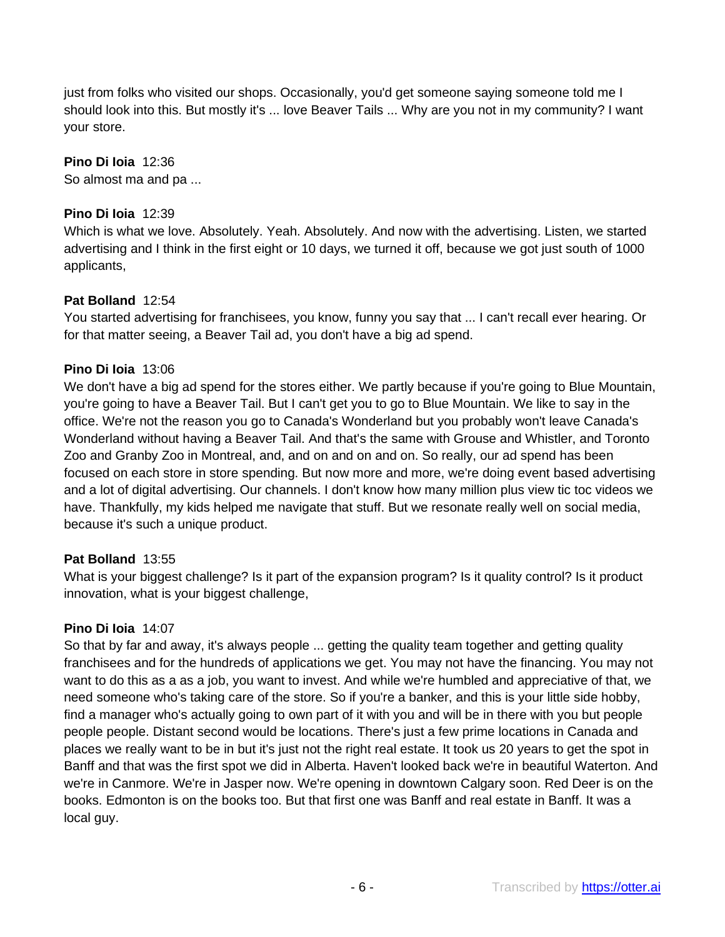just from folks who visited our shops. Occasionally, you'd get someone saying someone told me I should look into this. But mostly it's ... love Beaver Tails ... Why are you not in my community? I want your store.

# **Pino Di Ioia** 12:36

So almost ma and pa ...

# **Pino Di Ioia** 12:39

Which is what we love. Absolutely. Yeah. Absolutely. And now with the advertising. Listen, we started advertising and I think in the first eight or 10 days, we turned it off, because we got just south of 1000 applicants,

# **Pat Bolland** 12:54

You started advertising for franchisees, you know, funny you say that ... I can't recall ever hearing. Or for that matter seeing, a Beaver Tail ad, you don't have a big ad spend.

# **Pino Di Ioia** 13:06

We don't have a big ad spend for the stores either. We partly because if you're going to Blue Mountain, you're going to have a Beaver Tail. But I can't get you to go to Blue Mountain. We like to say in the office. We're not the reason you go to Canada's Wonderland but you probably won't leave Canada's Wonderland without having a Beaver Tail. And that's the same with Grouse and Whistler, and Toronto Zoo and Granby Zoo in Montreal, and, and on and on and on. So really, our ad spend has been focused on each store in store spending. But now more and more, we're doing event based advertising and a lot of digital advertising. Our channels. I don't know how many million plus view tic toc videos we have. Thankfully, my kids helped me navigate that stuff. But we resonate really well on social media, because it's such a unique product.

# **Pat Bolland** 13:55

What is your biggest challenge? Is it part of the expansion program? Is it quality control? Is it product innovation, what is your biggest challenge,

# **Pino Di Ioia** 14:07

So that by far and away, it's always people ... getting the quality team together and getting quality franchisees and for the hundreds of applications we get. You may not have the financing. You may not want to do this as a as a job, you want to invest. And while we're humbled and appreciative of that, we need someone who's taking care of the store. So if you're a banker, and this is your little side hobby, find a manager who's actually going to own part of it with you and will be in there with you but people people people. Distant second would be locations. There's just a few prime locations in Canada and places we really want to be in but it's just not the right real estate. It took us 20 years to get the spot in Banff and that was the first spot we did in Alberta. Haven't looked back we're in beautiful Waterton. And we're in Canmore. We're in Jasper now. We're opening in downtown Calgary soon. Red Deer is on the books. Edmonton is on the books too. But that first one was Banff and real estate in Banff. It was a local guy.